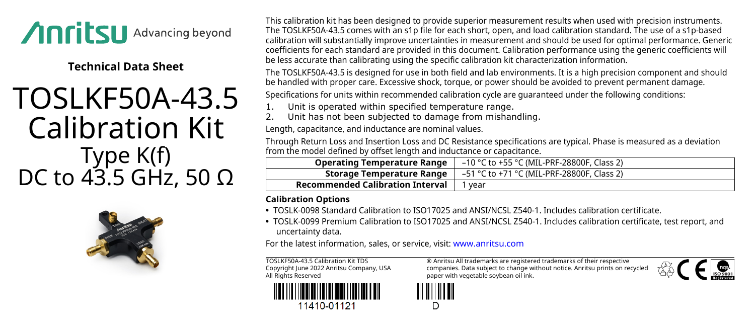

**Technical Data Sheet**

## TOSLKF50A-43.5 Calibration Kit Type K(f) DC to 43.5 GHz, 50  $\Omega$



This calibration kit has been designed to provide superior measurement results when used with precision instruments. The TOSLKF50A-43.5 comes with an s1p file for each short, open, and load calibration standard. The use of a s1p-based calibration will substantially improve uncertainties in measurement and should be used for optimal performance. Generic coefficients for each standard are provided in this document. Calibration performance using the generic coefficients will be less accurate than calibrating using the specific calibration kit characterization information.

The TOSLKF50A-43.5 is designed for use in both field and lab environments. It is a high precision component and should be handled with proper care. Excessive shock, torque, or power should be avoided to prevent permanent damage.

Specifications for units within recommended calibration cycle are guaranteed under the following conditions:

1. Unit is operated within specified temperature range.

2. Unit has not been subjected to damage from mishandling.

Length, capacitance, and inductance are nominal values.

Through Return Loss and Insertion Loss and DC Resistance specifications are typical. Phase is measured as a deviation from the model defined by offset length and inductance or capacitance.

| <b>Operating Temperature Range</b>      | –10 °C to +55 °C (MIL-PRF-28800F, Class 2) |
|-----------------------------------------|--------------------------------------------|
| Storage Temperature Range               | –51 °C to +71 °C (MIL-PRF-28800F, Class 2) |
| <b>Recommended Calibration Interval</b> | vear                                       |

## **Calibration Options**

- **•** TOSLK-0098 Standard Calibration to ISO17025 and ANSI/NCSL Z540-1. Includes calibration certificate.
- **•** TOSLK-0099 Premium Calibration to ISO17025 and ANSI/NCSL Z540-1. Includes calibration certificate, test report, and uncertainty data.

For the latest information, sales, or service, visit: [www.anritsu.com](http://www.anritsu.com)

TOSLKF50A-43.5 Calibration Kit TDS Copyright June 2022 Anritsu Company, USA All Rights Reserved



11410-01121

® Anritsu All trademarks are registered trademarks of their respective companies. Data subject to change without notice. Anritsu prints on recycled paper with vegetable soybean oil ink.